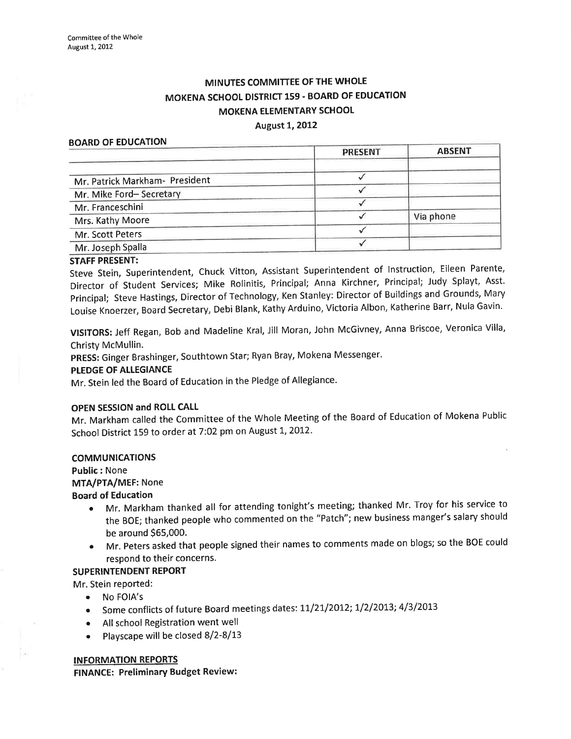# MINUTES COMMITTEE OF THE WHOLE MOKENA SCHOOL DISTRICT 159 - BOARD OF EDUCATION MOKENA ELEMENTARY SCHOOL

#### **August 1, 2012**

#### BOARD OF EDUCATION

|                                | <b>PRESENT</b> | <b>ABSENT</b> |
|--------------------------------|----------------|---------------|
| Mr. Patrick Markham- President |                |               |
| Mr. Mike Ford-Secretary        |                |               |
| Mr. Franceschini               |                |               |
| Mrs. Kathy Moore               |                | Via phone     |
| Mr. Scott Peters               |                |               |
| Mr. Joseph Spalla              |                |               |

## STAFF PRESENT:

Steve Stein, Superintendent, Chuck Vitton, Assistant Superintendent of lnstruction, Eileen Parente, Director of Student Services; Mike Rolinitis, Principal; Anna Kirchner, Principal; Judy Splayt, Asst. principal; Steve Hastings, Director of Technology, Ken Stanley: Director of Buildings and Grounds, Mary Louise Knoerzer, Board Secretary, Debi Blank, Kathy Arduino, Victoria Albon, Katherine Barr, Nula Gavin'

vlslToRS: Jeff Regan, Bob and Madeline Kral, Jill Moran, John McGivney, Anna Briscoe, veronica Villa, Christy McMullin.

pRESS: Ginger Brashinger, southtown star; Ryan Bray, Mokena Messenger.

## PLEDGE OF ALLEGIANCE

Mr. Stein led the Board of Education in the Pledge of Allegiance.

#### OPEN SESSION and ROLL CALL

Mr. Markham called the Committee of the Whole Meeting of the Board of Education of Mokena Public School District 159 to order at 7:02 pm on August 1, 2012.

#### COMMUNICATIONS

Public: None MTA/PTA/MEF: None

#### Board of Education

- Mr. Markham thanked all for attending tonight's meeting; thanked Mr. Troy for his service to the BOE; thanked people who commented on the "Patch"; new business manger's salary should be around 565,000.
- Mr. Peters asked that people signed their names to comments made on blogs; so the BOE could respond to their concerns.

### SUPERINTENDENT REPORT

- Mr. Stein reported:
	- No FOIA's
	- Some conflicts of future Board meetings dates: 11/21/2012; 1/2/2013; 4/3/2013
	- All school Registration went well
	- $\bullet$  Playscape will be closed 8/2-8/13

## INFORMATION REPORTS

FINANCE: Preliminary Budget Review: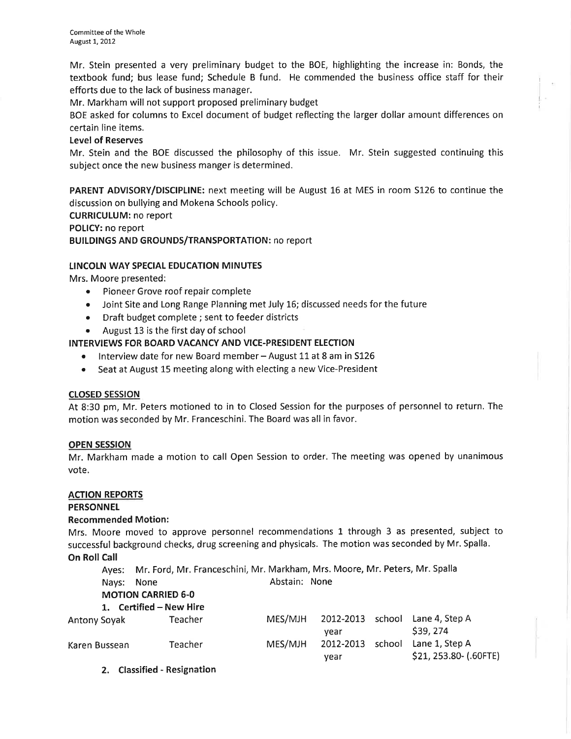Mr. Stein presented a very preliminary budget to the BOE, highlighting the increase in: Bonds, the textbook fund; bus lease fund; Schedule B fund. He commended the business office staff for their efforts due to the lack of business manager.

Mr. Markham will not support proposed preliminary budget

BOE asked for columns to Excel document of budget reflecting the larger dollar amount differences on certain line items.

### Level of Reserves

Mr. Stein and the BOE discussed the philosophy of this issue. Mr. Stein suggested continuing this subject once the new business manger is determined.

PARENT ADVISORY/DISCIPLINE: next meeting will be August 16 at MES in room 5126 to continue the discussion on bullying and Mokena Schools policy.

CURRICULUM: no report

#### POLICY: no report

BUILDINGS AND GROUNDS/TRANSPORTATION: no report

### LINCOLN WAY SPECIAL EDUCATION MINUTES

Mrs. Moore presented:

- . Pioneer Grove roof repair complete
- Joint Site and Long Range Planning met July 16; discussed needs for the future
- o Draft budget complete ; sent to feeder districts
- . August 13 is the first day of school

### INTERVIEWS FOR BOARD VACANCY AND VICE-PRESIDENT ELECTION

- o lnterview date for new Board member August 11 at 8 am in <sup>5126</sup>
- Seat at August 15 meeting along with electing a new Vice-President

#### closED sEssloN

At 8:30 pm, Mr. Peters motioned to in to Closed Session for the purposes of personnel to return. The motion was seconded by Mr. Franceschini. The Board was all in favor.

#### OPEN SESSION

Mr. Markham made a motion to call Open Session to order. The meeting was opened by unanimous vote.

#### ACTION REPORTS

#### PERSONNEL

#### Recommended Motion:

Mrs. Moore moved to approve personnel recommendations 1 through 3 as presented, subject to successful background checks, drug screening and physicals. The motion was seconded by Mr. Spalla. On Roll Call

Ayes: Mr. Ford, Mr. Franceschini, Mr. Markham, Mrs. Moore, Mr. Peters, Mr. Spalla Nays: None **Abstain:** None

| <b>MOTION CARRIED 6-0</b> |  |
|---------------------------|--|
| 1. Certified – New Hire   |  |

| t. Counce     | .       |         |                  |                        |
|---------------|---------|---------|------------------|------------------------|
| Antony Soyak  | Teacher | MES/MJH | 2012-2013 school | Lane 4, Step A         |
|               |         |         | vear             | \$39, 274              |
| Karen Bussean | Teacher | MES/MJH | 2012-2013 school | Lane 1, Step A         |
|               |         |         | vear             | \$21, 253.80- (.60FTE) |

2. Classified - Resignation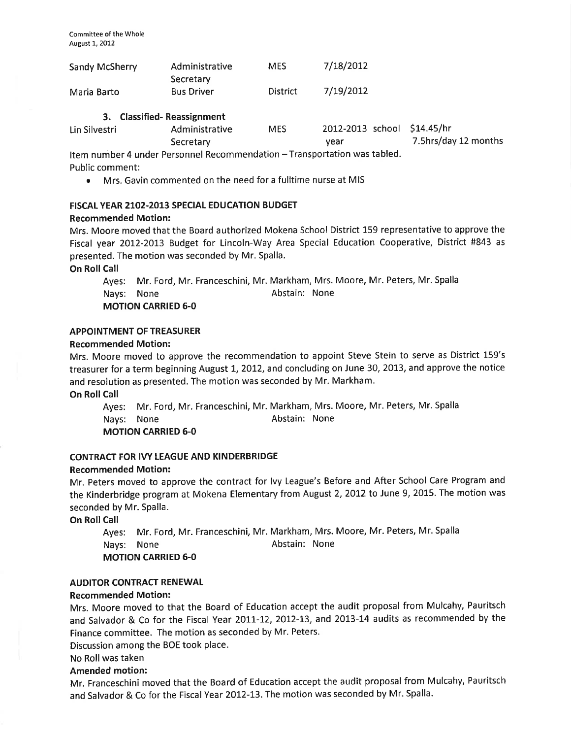| Sandy McSherry | Administrative<br>Secretary               | <b>MES</b>      | 7/18/2012 |
|----------------|-------------------------------------------|-----------------|-----------|
| Maria Barto    | <b>Bus Driver</b>                         | <b>District</b> | 7/19/2012 |
| $\sim$         | $\sim$ $\sim$ $\sim$ $\sim$ $\sim$ $\sim$ |                 |           |

#### 3. Classified- Reassignment

| Lin Silvestri | Administrative | <b>MES</b> | 2012-2013 school \$14.45/hr |                      |
|---------------|----------------|------------|-----------------------------|----------------------|
|               | Secretary      |            | vear                        | 7.5hrs/day 12 months |
|               |                |            |                             |                      |

Item number 4 under Personnel Recommendation - Transportation was tabled. Public comment:

o Mrs. Gavin commented on the need for a fulltime nurse at MIS

### FISCAL YEAR 2102-2013 SPECIAL EDUCATION BUDGET

### Recommended Motion:

Mrs. Moore moved that the Board authorized Mokena School District 159 representative to approve the Fiscal year 2012-2013 Budget for Lincoln-Way Area Special Education Cooperative, District #843 as presented. The motion was seconded by Mr. Spalla.

On Roll Call

Ayes: Mr. Ford, Mr. Franceschini, Mr. Markham, Mrs. Moore, Mr. Peters, Mr. Spalla Nays: None **Abstain:** None MOTION CARRIED 6-0

## APPOINTMENT OF TREASURER

### Recommended Motion:

Mrs. Moore moved to approve the recommendation to appoint Steve Stein to serve as District 159's treasurer for a term beginning August 1, 2012, and concluding on June 30, 2013, and approve the notice and resolution as presented. The motion was seconded by Mr. Markham.

On Roll Call

Ayes: Mr. Ford, Mr. Franceschini, Mr. Markham, Mrs. Moore, Mr. Peters, Mr. Spalla Nays: None **Abstain:** None MOTION CARRIED 6-0

### CONTRACT FOR IVY LEAGUE AND KINDERBRIDGE

#### Recommended Motion:

Mr. Peters moved to approve the contract for lvy League's Before and After School Care Program and the Kinderbridge program at Mokena Elementary from August 2, 2012 to June 9, 2015. The motion was seconded by Mr. Spalla.

On Roll Call

Ayes: Mr. Ford, Mr. Franceschini, Mr. Markham, Mrs. Moore, Mr. Peters, Mr. Spalla Nays: None **Abstain:** None MOTION CARRIED 6-0

## AUDITOR CONTRACT RENEWAL

#### Recommended Motion:

Mrs. Moore moved to that the Board of Education accept the audit proposal from Mulcahy, Pauritsch and Salvador & Co for the Fiscal Year 2011-12, 2012-13, and 2013-14 audits as recommended by the Finance committee. The motion as seconded by Mr. Peters.

Discussion among the BOE took place.

## No Roll was taken

## Amended motion:

Mr. Franceschini moved that the Board of Education accept the audit proposal from Mulcahy, Pauritsch and Salvador & Co for the Fiscal Year 2012-13. The motion was seconded by Mr. Spalla.